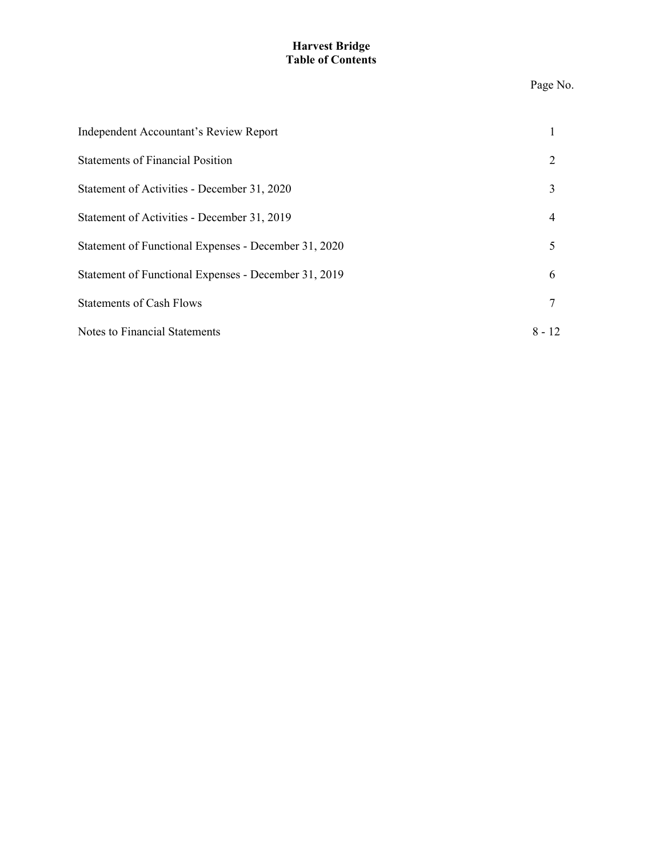# **Harvest Bridge Table of Contents**

### Page No.

| Independent Accountant's Review Report               |          |
|------------------------------------------------------|----------|
| <b>Statements of Financial Position</b>              |          |
| Statement of Activities - December 31, 2020          |          |
| Statement of Activities - December 31, 2019          | 4        |
| Statement of Functional Expenses - December 31, 2020 |          |
| Statement of Functional Expenses - December 31, 2019 | 6        |
| <b>Statements of Cash Flows</b>                      |          |
| Notes to Financial Statements                        | $8 - 12$ |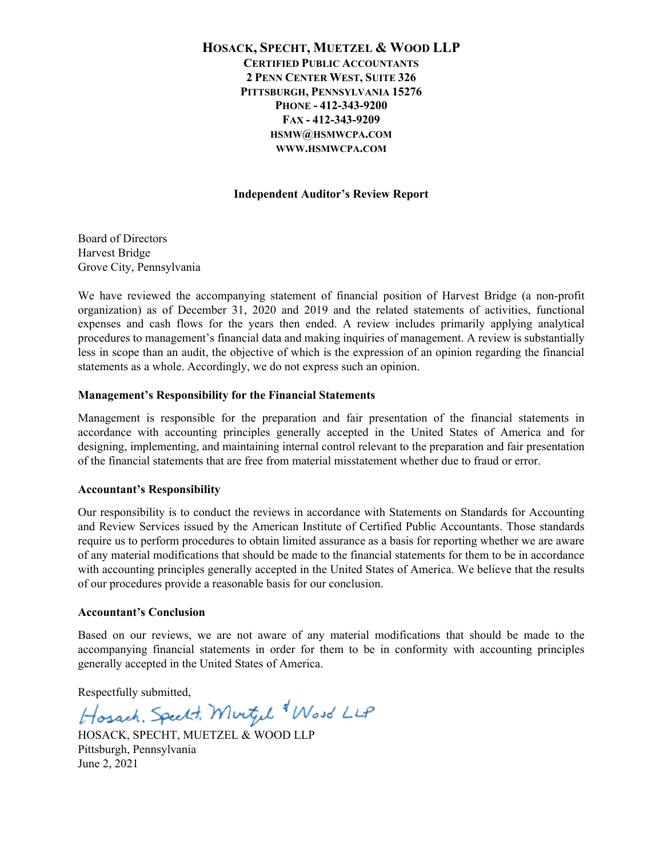# **HOSACK, SPECHT, MUETZEL & WOOD LLP CERTIFIED PUBLIC ACCOUNTANTS 2 PENN CENTER WEST, SUITE 326 PITTSBURGH, PENNSYLVANIA 15276 PHONE - 412-343-9200 FAX - 412-343-9209 HSMW@HSMWCPA.COM WWW.HSMWCPA.COM**

### **Independent Auditor's Review Report**

Board of Directors Harvest Bridge Grove City, Pennsylvania

We have reviewed the accompanying statement of financial position of Harvest Bridge (a non-profit organization) as of December 31, 2020 and 2019 and the related statements of activities, functional expenses and cash flows for the years then ended. A review includes primarily applying analytical procedures to management's financial data and making inquiries of management. A review is substantially less in scope than an audit, the objective of which is the expression of an opinion regarding the financial statements as a whole. Accordingly, we do not express such an opinion.

## **Management's Responsibility for the Financial Statements**

Management is responsible for the preparation and fair presentation of the financial statements in accordance with accounting principles generally accepted in the United States of America and for designing, implementing, and maintaining internal control relevant to the preparation and fair presentation of the financial statements that are free from material misstatement whether due to fraud or error.

### **Accountant's Responsibility**

Our responsibility is to conduct the reviews in accordance with Statements on Standards for Accounting and Review Services issued by the American Institute of Certified Public Accountants. Those standards require us to perform procedures to obtain limited assurance as a basis for reporting whether we are aware of any material modifications that should be made to the financial statements for them to be in accordance with accounting principles generally accepted in the United States of America. We believe that the results of our procedures provide a reasonable basis for our conclusion.

#### **Accountant's Conclusion**

Based on our reviews, we are not aware of any material modifications that should be made to the accompanying financial statements in order for them to be in conformity with accounting principles generally accepted in the United States of America.

Respectfully submitted,

Hosach, Speelt, Murtyl Wood LLP

HOSACK, SPECHT, MUETZEL & WOOD LLP Pittsburgh, Pennsylvania June 2, 2021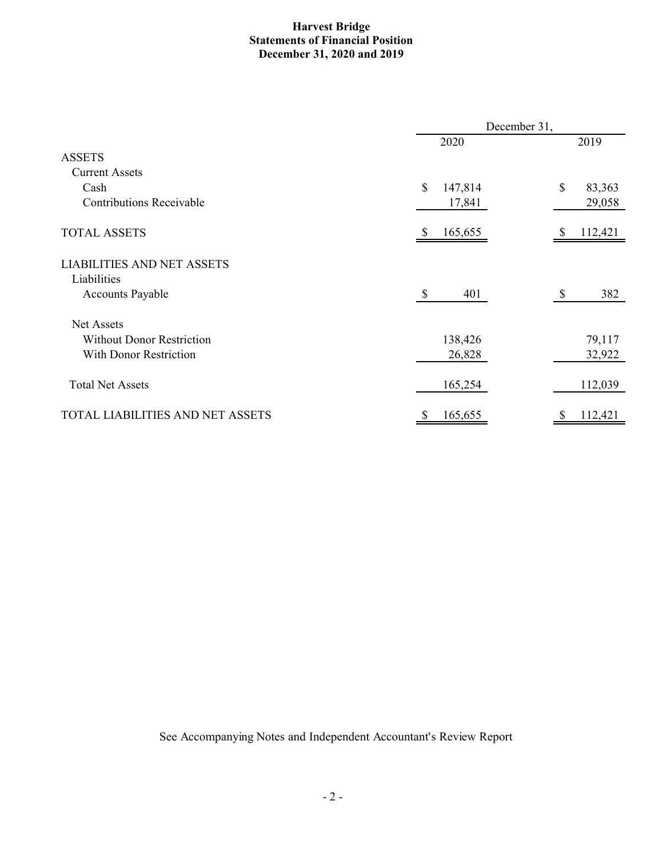# **Harvest Bridge Statements of Financial Position December 31, 2020 and 2019**

|                                   | December 31,         |              |  |  |
|-----------------------------------|----------------------|--------------|--|--|
|                                   | 2020                 | 2019         |  |  |
| <b>ASSETS</b>                     |                      |              |  |  |
| <b>Current Assets</b>             |                      |              |  |  |
| Cash                              | \$<br>147,814        | \$<br>83,363 |  |  |
| <b>Contributions Receivable</b>   | 17,841               | 29,058       |  |  |
| <b>TOTAL ASSETS</b>               | 165,655              | 112,421      |  |  |
| <b>LIABILITIES AND NET ASSETS</b> |                      |              |  |  |
| Liabilities                       |                      |              |  |  |
| <b>Accounts Payable</b>           | $\mathcal{S}$<br>401 | 382<br>\$    |  |  |
| Net Assets                        |                      |              |  |  |
| <b>Without Donor Restriction</b>  | 138,426              | 79,117       |  |  |
| <b>With Donor Restriction</b>     | 26,828               | 32,922       |  |  |
| <b>Total Net Assets</b>           | 165,254              | 112,039      |  |  |
| TOTAL LIABILITIES AND NET ASSETS  | 165,655              | 112,421      |  |  |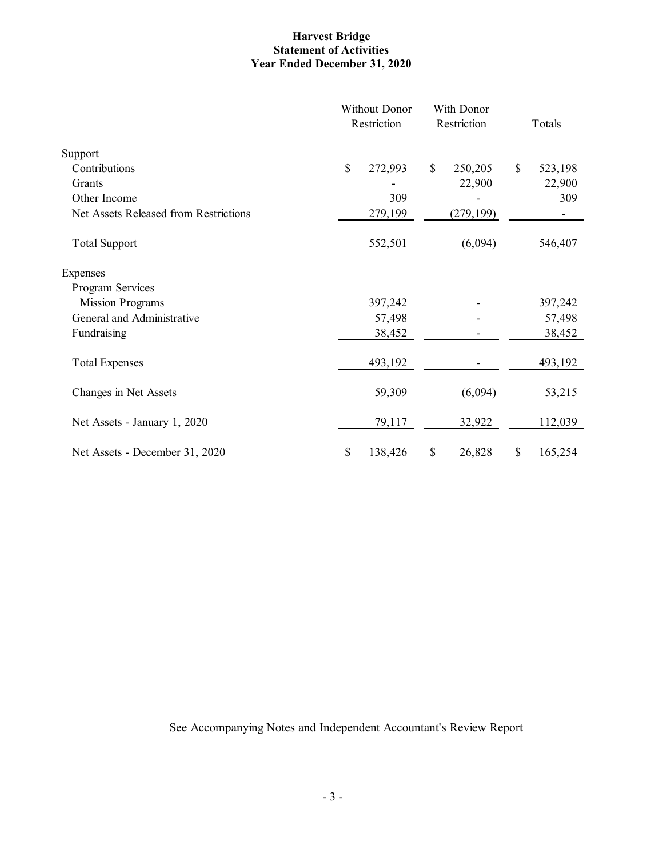# **Harvest Bridge Statement of Activities Year Ended December 31, 2020**

|                                       | <b>Without Donor</b><br>Restriction | With Donor<br>Restriction<br>Totals |                         |
|---------------------------------------|-------------------------------------|-------------------------------------|-------------------------|
| Support                               |                                     |                                     |                         |
| Contributions                         | \$<br>272,993                       | 250,205<br>\$                       | $\mathbb{S}$<br>523,198 |
| Grants                                |                                     | 22,900                              | 22,900                  |
| Other Income                          | 309                                 |                                     | 309                     |
| Net Assets Released from Restrictions | 279,199                             | (279, 199)                          |                         |
| <b>Total Support</b>                  | 552,501                             | (6,094)                             | 546,407                 |
| Expenses                              |                                     |                                     |                         |
| Program Services                      |                                     |                                     |                         |
| <b>Mission Programs</b>               | 397,242                             |                                     | 397,242                 |
| General and Administrative            | 57,498                              |                                     | 57,498                  |
| Fundraising                           | 38,452                              |                                     | 38,452                  |
| <b>Total Expenses</b>                 | 493,192                             |                                     | 493,192                 |
| Changes in Net Assets                 | 59,309                              | (6,094)                             | 53,215                  |
| Net Assets - January 1, 2020          | 79,117                              | 32,922                              | 112,039                 |
| Net Assets - December 31, 2020        | 138,426<br>S                        | 26,828<br>S                         | 165,254<br>S            |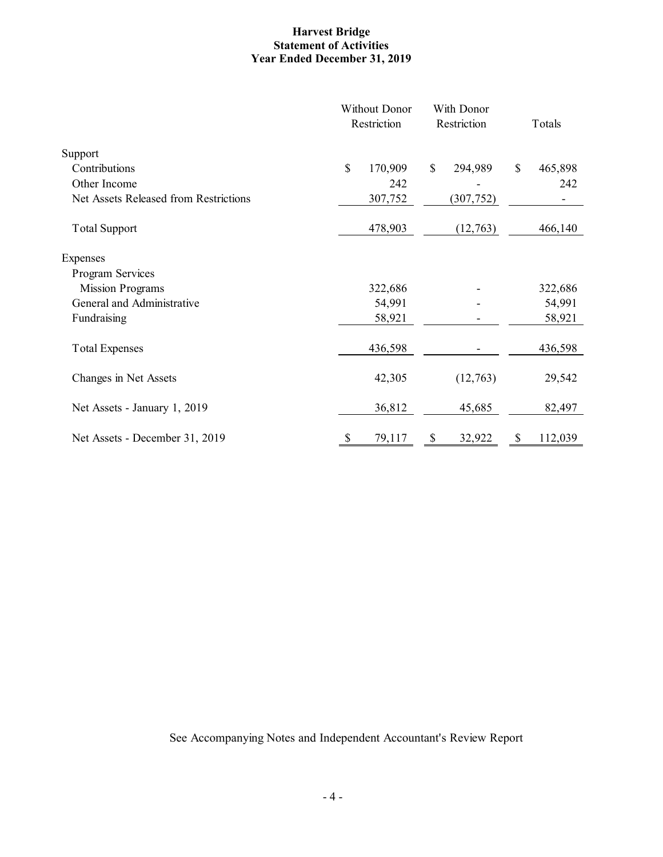# **Harvest Bridge Statement of Activities Year Ended December 31, 2019**

|                                       | <b>Without Donor</b><br>Restriction |              | With Donor<br>Restriction | Totals        |
|---------------------------------------|-------------------------------------|--------------|---------------------------|---------------|
| Support                               |                                     |              |                           |               |
| Contributions                         | \$<br>170,909                       | $\mathbb{S}$ | 294,989                   | \$<br>465,898 |
| Other Income                          | 242                                 |              |                           | 242           |
| Net Assets Released from Restrictions | 307,752                             |              | (307, 752)                |               |
| <b>Total Support</b>                  | 478,903                             |              | (12,763)                  | 466,140       |
| Expenses                              |                                     |              |                           |               |
| Program Services                      |                                     |              |                           |               |
| <b>Mission Programs</b>               | 322,686                             |              |                           | 322,686       |
| General and Administrative            | 54,991                              |              |                           | 54,991        |
| Fundraising                           | 58,921                              |              |                           | 58,921        |
| <b>Total Expenses</b>                 | 436,598                             |              |                           | 436,598       |
| Changes in Net Assets                 | 42,305                              |              | (12,763)                  | 29,542        |
| Net Assets - January 1, 2019          | 36,812                              |              | 45,685                    | 82,497        |
| Net Assets - December 31, 2019        | \$<br>79,117                        | \$           | 32,922                    | \$<br>112,039 |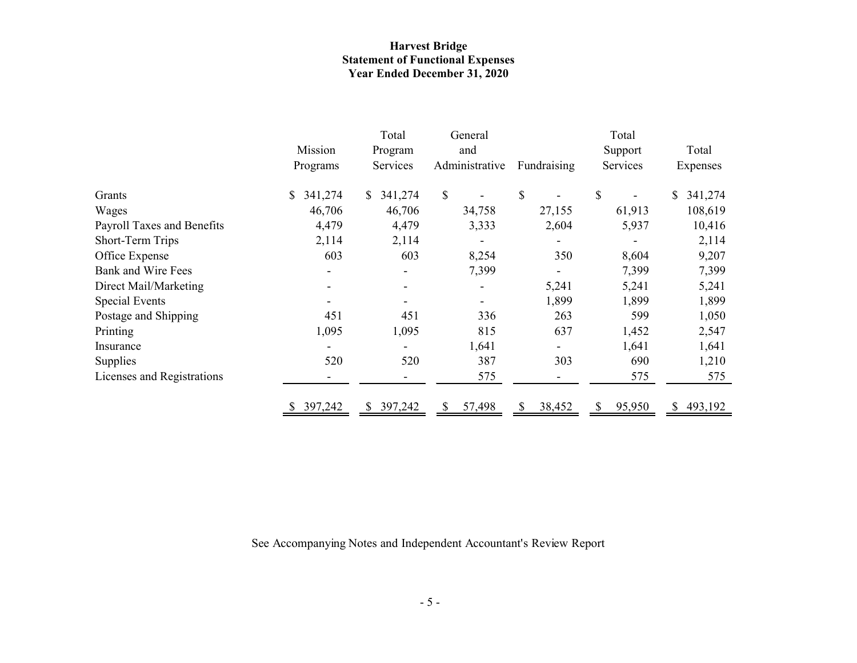# **Harvest Bridge Statement of Functional Expenses Year Ended December 31, 2020**

|                            |                           | Total           | General        |             | Total       |               |
|----------------------------|---------------------------|-----------------|----------------|-------------|-------------|---------------|
|                            | Mission                   | Program         | and            |             | Support     | Total         |
|                            | Programs                  | <b>Services</b> | Administrative | Fundraising | Services    | Expenses      |
| Grants                     | 341,274<br>$\mathbb{S}^-$ | 341,274<br>\$   | $\mathbb{S}$   | \$          | \$          | 341,274<br>S. |
| Wages                      | 46,706                    | 46,706          | 34,758         | 27,155      | 61,913      | 108,619       |
| Payroll Taxes and Benefits | 4,479                     | 4,479           | 3,333          | 2,604       | 5,937       | 10,416        |
| Short-Term Trips           | 2,114                     | 2,114           |                |             |             | 2,114         |
| Office Expense             | 603                       | 603             | 8,254          | 350         | 8,604       | 9,207         |
| <b>Bank and Wire Fees</b>  |                           |                 | 7,399          |             | 7,399       | 7,399         |
| Direct Mail/Marketing      |                           |                 |                | 5,241       | 5,241       | 5,241         |
| Special Events             |                           |                 |                | 1,899       | 1,899       | 1,899         |
| Postage and Shipping       | 451                       | 451             | 336            | 263         | 599         | 1,050         |
| Printing                   | 1,095                     | 1,095           | 815            | 637         | 1,452       | 2,547         |
| Insurance                  |                           |                 | 1,641          |             | 1,641       | 1,641         |
| Supplies                   | 520                       | 520             | 387            | 303         | 690         | 1,210         |
| Licenses and Registrations |                           |                 | 575            |             | 575         | 575           |
|                            | 397,242                   | 397,242<br>S.   | 57,498         | 38,452      | 95,950<br>S | 493,192<br>S. |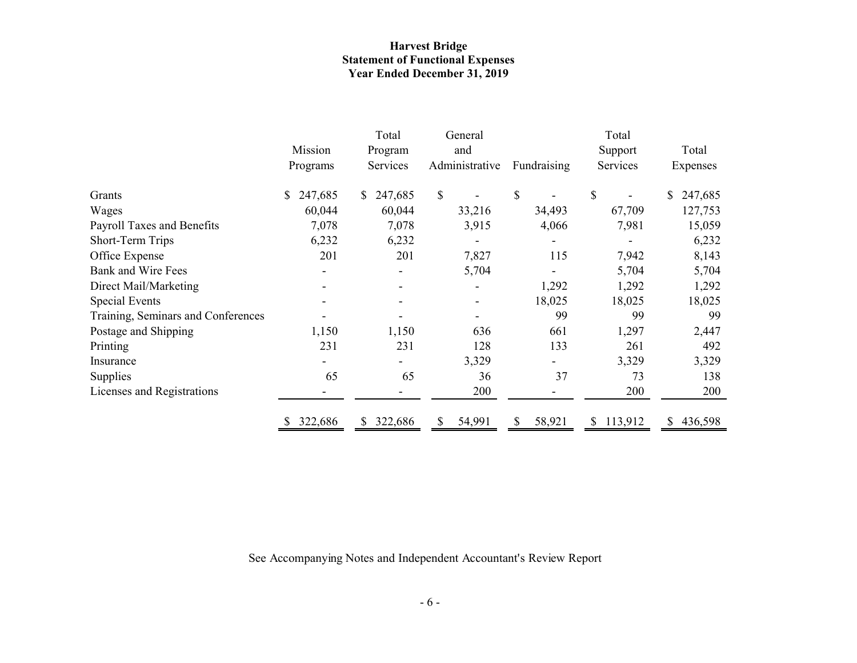# **Harvest Bridge Statement of Functional Expenses Year Ended December 31, 2019**

|                                    |               | Total          | General        |             | Total                   |               |  |
|------------------------------------|---------------|----------------|----------------|-------------|-------------------------|---------------|--|
|                                    | Mission       | and<br>Program |                |             | Total                   |               |  |
|                                    | Programs      | Services       | Administrative | Fundraising | Services                | Expenses      |  |
| Grants                             | \$<br>247,685 | 247,685<br>S.  | \$             | \$          | \$                      | 247,685<br>\$ |  |
| Wages                              | 60,044        | 60,044         | 33,216         | 34,493      | 67,709                  | 127,753       |  |
| Payroll Taxes and Benefits         | 7,078         | 7,078          | 3,915          | 4,066       | 7,981                   | 15,059        |  |
| Short-Term Trips                   | 6,232         | 6,232          |                |             |                         | 6,232         |  |
| Office Expense                     | 201           | 201            | 7,827          | 115         | 7,942                   | 8,143         |  |
| Bank and Wire Fees                 |               |                | 5,704          |             | 5,704                   | 5,704         |  |
| Direct Mail/Marketing              |               |                |                | 1,292       | 1,292                   | 1,292         |  |
| <b>Special Events</b>              |               |                |                | 18,025      | 18,025                  | 18,025        |  |
| Training, Seminars and Conferences |               |                |                | 99          | 99                      | 99            |  |
| Postage and Shipping               | 1,150         | 1,150          | 636            | 661         | 1,297                   | 2,447         |  |
| Printing                           | 231           | 231            | 128            | 133         | 261                     | 492           |  |
| Insurance                          |               |                | 3,329          |             | 3,329                   | 3,329         |  |
| Supplies                           | 65            | 65             | 36             | 37          | 73                      | 138           |  |
| Licenses and Registrations         |               |                | 200            |             | 200                     | 200           |  |
|                                    | 322,686       | 322,686<br>S.  | 54,991<br>S    | 58,921<br>S | 113,912<br>$\mathbb{S}$ | 436,598<br>S. |  |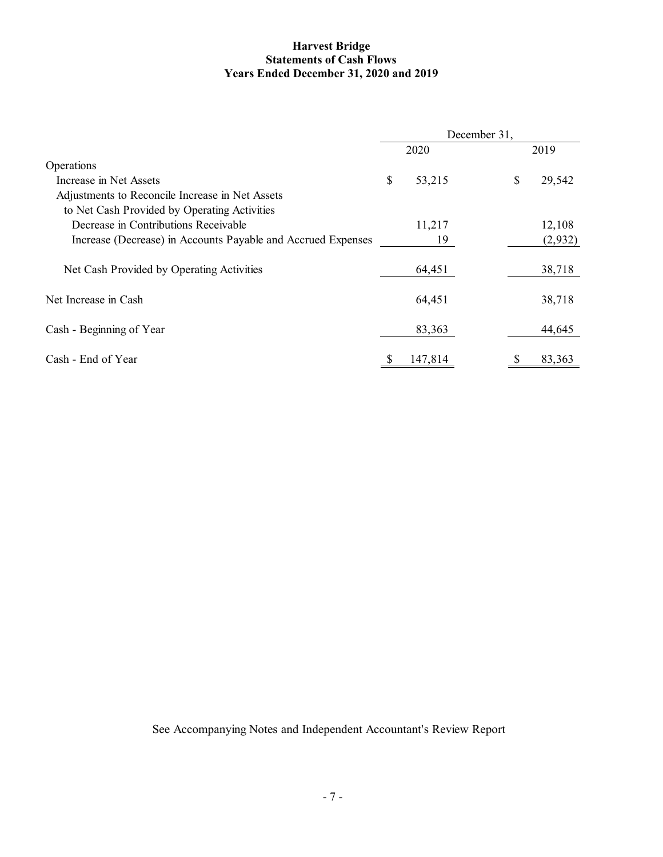## **Harvest Bridge Statements of Cash Flows Years Ended December 31, 2020 and 2019**

|                                                              | December 31, |         |  |    |         |
|--------------------------------------------------------------|--------------|---------|--|----|---------|
|                                                              |              | 2020    |  |    | 2019    |
| Operations                                                   |              |         |  |    |         |
| Increase in Net Assets                                       | \$           | 53,215  |  | \$ | 29,542  |
| Adjustments to Reconcile Increase in Net Assets              |              |         |  |    |         |
| to Net Cash Provided by Operating Activities                 |              |         |  |    |         |
| Decrease in Contributions Receivable                         |              | 11,217  |  |    | 12,108  |
| Increase (Decrease) in Accounts Payable and Accrued Expenses |              | 19      |  |    | (2,932) |
| Net Cash Provided by Operating Activities                    |              | 64,451  |  |    | 38,718  |
| Net Increase in Cash                                         |              | 64,451  |  |    | 38,718  |
| Cash - Beginning of Year                                     |              | 83,363  |  |    | 44,645  |
| Cash - End of Year                                           |              | 147,814 |  |    | 83,363  |
|                                                              |              |         |  |    |         |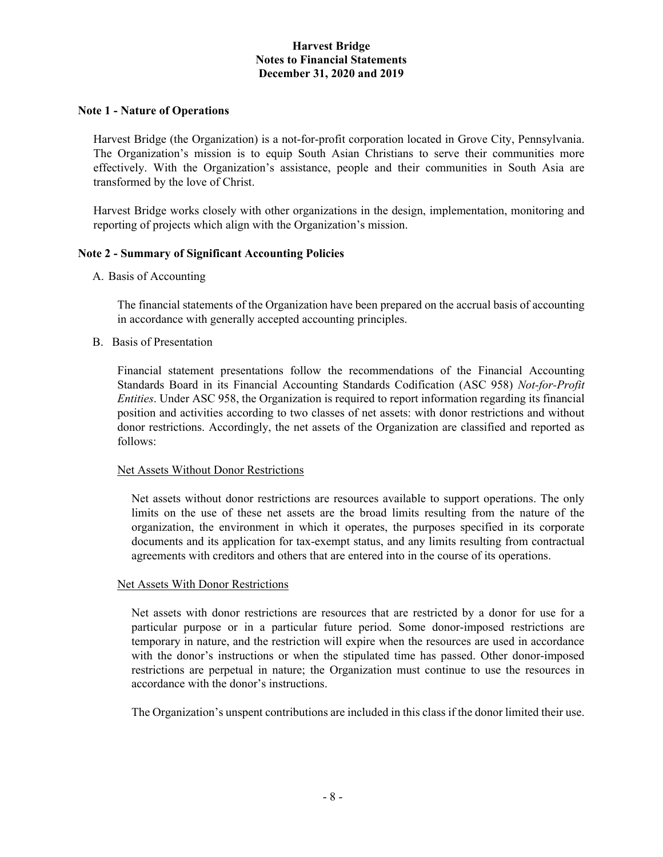### **Note 1 - Nature of Operations**

Harvest Bridge (the Organization) is a not-for-profit corporation located in Grove City, Pennsylvania. The Organization's mission is to equip South Asian Christians to serve their communities more effectively. With the Organization's assistance, people and their communities in South Asia are transformed by the love of Christ.

Harvest Bridge works closely with other organizations in the design, implementation, monitoring and reporting of projects which align with the Organization's mission.

### **Note 2 - Summary of Significant Accounting Policies**

A. Basis of Accounting

The financial statements of the Organization have been prepared on the accrual basis of accounting in accordance with generally accepted accounting principles.

B. Basis of Presentation

Financial statement presentations follow the recommendations of the Financial Accounting Standards Board in its Financial Accounting Standards Codification (ASC 958) *Not-for-Profit Entities*. Under ASC 958, the Organization is required to report information regarding its financial position and activities according to two classes of net assets: with donor restrictions and without donor restrictions. Accordingly, the net assets of the Organization are classified and reported as follows:

#### Net Assets Without Donor Restrictions

Net assets without donor restrictions are resources available to support operations. The only limits on the use of these net assets are the broad limits resulting from the nature of the organization, the environment in which it operates, the purposes specified in its corporate documents and its application for tax-exempt status, and any limits resulting from contractual agreements with creditors and others that are entered into in the course of its operations.

#### Net Assets With Donor Restrictions

Net assets with donor restrictions are resources that are restricted by a donor for use for a particular purpose or in a particular future period. Some donor-imposed restrictions are temporary in nature, and the restriction will expire when the resources are used in accordance with the donor's instructions or when the stipulated time has passed. Other donor-imposed restrictions are perpetual in nature; the Organization must continue to use the resources in accordance with the donor's instructions.

The Organization's unspent contributions are included in this class if the donor limited their use.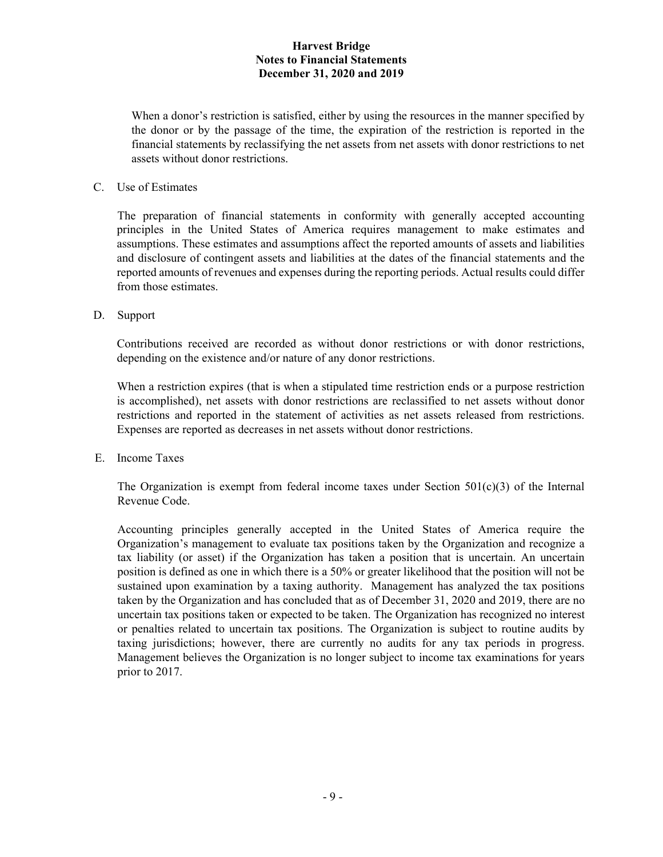When a donor's restriction is satisfied, either by using the resources in the manner specified by the donor or by the passage of the time, the expiration of the restriction is reported in the financial statements by reclassifying the net assets from net assets with donor restrictions to net assets without donor restrictions.

# C. Use of Estimates

 The preparation of financial statements in conformity with generally accepted accounting principles in the United States of America requires management to make estimates and assumptions. These estimates and assumptions affect the reported amounts of assets and liabilities and disclosure of contingent assets and liabilities at the dates of the financial statements and the reported amounts of revenues and expenses during the reporting periods. Actual results could differ from those estimates.

D. Support

Contributions received are recorded as without donor restrictions or with donor restrictions, depending on the existence and/or nature of any donor restrictions.

When a restriction expires (that is when a stipulated time restriction ends or a purpose restriction is accomplished), net assets with donor restrictions are reclassified to net assets without donor restrictions and reported in the statement of activities as net assets released from restrictions. Expenses are reported as decreases in net assets without donor restrictions.

E. Income Taxes

The Organization is exempt from federal income taxes under Section  $501(c)(3)$  of the Internal Revenue Code.

 Accounting principles generally accepted in the United States of America require the Organization's management to evaluate tax positions taken by the Organization and recognize a tax liability (or asset) if the Organization has taken a position that is uncertain. An uncertain position is defined as one in which there is a 50% or greater likelihood that the position will not be sustained upon examination by a taxing authority. Management has analyzed the tax positions taken by the Organization and has concluded that as of December 31, 2020 and 2019, there are no uncertain tax positions taken or expected to be taken. The Organization has recognized no interest or penalties related to uncertain tax positions. The Organization is subject to routine audits by taxing jurisdictions; however, there are currently no audits for any tax periods in progress. Management believes the Organization is no longer subject to income tax examinations for years prior to 2017.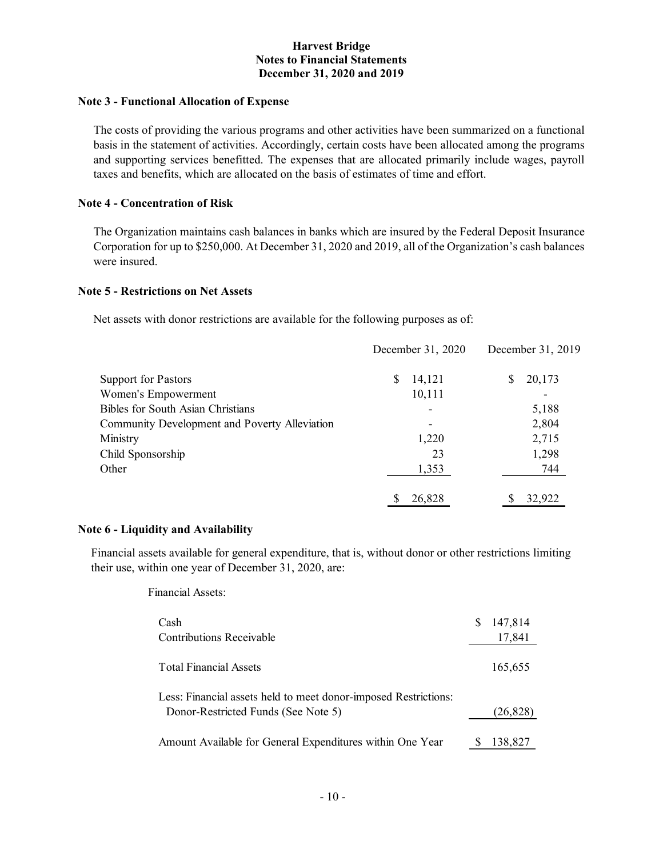## **Note 3 - Functional Allocation of Expense**

The costs of providing the various programs and other activities have been summarized on a functional basis in the statement of activities. Accordingly, certain costs have been allocated among the programs and supporting services benefitted. The expenses that are allocated primarily include wages, payroll taxes and benefits, which are allocated on the basis of estimates of time and effort.

# **Note 4 - Concentration of Risk**

The Organization maintains cash balances in banks which are insured by the Federal Deposit Insurance Corporation for up to \$250,000. At December 31, 2020 and 2019, all of the Organization's cash balances were insured.

## **Note 5 - Restrictions on Net Assets**

Net assets with donor restrictions are available for the following purposes as of:

|                                               |   | December 31, 2020 | December 31, 2019 |  |  |
|-----------------------------------------------|---|-------------------|-------------------|--|--|
| Support for Pastors                           | S | 14,121            | 20,173<br>S       |  |  |
| Women's Empowerment                           |   | 10,111            |                   |  |  |
| <b>Bibles for South Asian Christians</b>      |   |                   | 5,188             |  |  |
| Community Development and Poverty Alleviation |   | $\overline{a}$    | 2,804             |  |  |
| Ministry                                      |   | 1,220             | 2,715             |  |  |
| Child Sponsorship                             |   | 23                | 1,298             |  |  |
| Other                                         |   | 1,353             | 744               |  |  |
|                                               |   | 26,828            | 32,922            |  |  |

## **Note 6 - Liquidity and Availability**

Financial assets available for general expenditure, that is, without donor or other restrictions limiting their use, within one year of December 31, 2020, are:

Financial Assets:

| Cash<br>Contributions Receivable                                                                       | 147,814<br>17,841 |
|--------------------------------------------------------------------------------------------------------|-------------------|
| <b>Total Financial Assets</b>                                                                          | 165,655           |
| Less: Financial assets held to meet donor-imposed Restrictions:<br>Donor-Restricted Funds (See Note 5) | (26,828)          |
| Amount Available for General Expenditures within One Year                                              | 138,827           |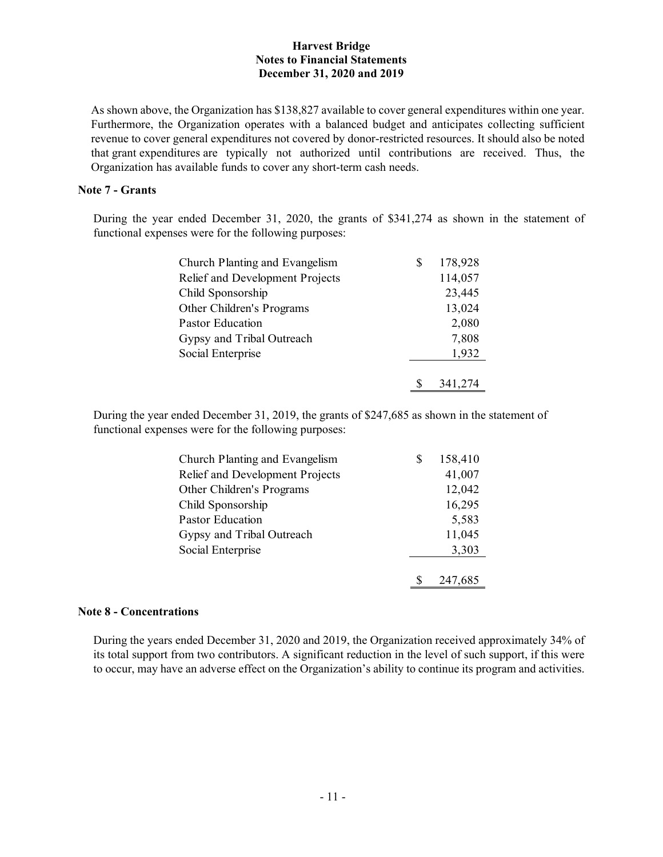As shown above, the Organization has \$138,827 available to cover general expenditures within one year. Furthermore, the Organization operates with a balanced budget and anticipates collecting sufficient revenue to cover general expenditures not covered by donor-restricted resources. It should also be noted that grant expenditures are typically not authorized until contributions are received. Thus, the Organization has available funds to cover any short-term cash needs.

## **Note 7 - Grants**

 During the year ended December 31, 2020, the grants of \$341,274 as shown in the statement of functional expenses were for the following purposes:

| Church Planting and Evangelism  | S | 178,928 |
|---------------------------------|---|---------|
| Relief and Development Projects |   | 114,057 |
| Child Sponsorship               |   | 23,445  |
| Other Children's Programs       |   | 13,024  |
| Pastor Education                |   | 2,080   |
| Gypsy and Tribal Outreach       |   | 7,808   |
| Social Enterprise               |   | 1,932   |
|                                 |   |         |
|                                 |   | 341,274 |

 During the year ended December 31, 2019, the grants of \$247,685 as shown in the statement of functional expenses were for the following purposes:

| Church Planting and Evangelism  | 158,410 |
|---------------------------------|---------|
| Relief and Development Projects | 41,007  |
| Other Children's Programs       | 12,042  |
| Child Sponsorship               | 16,295  |
| <b>Pastor Education</b>         | 5,583   |
| Gypsy and Tribal Outreach       | 11,045  |
| Social Enterprise               | 3,303   |
|                                 |         |
|                                 | 247,685 |

## **Note 8 - Concentrations**

 During the years ended December 31, 2020 and 2019, the Organization received approximately 34% of its total support from two contributors. A significant reduction in the level of such support, if this were to occur, may have an adverse effect on the Organization's ability to continue its program and activities.